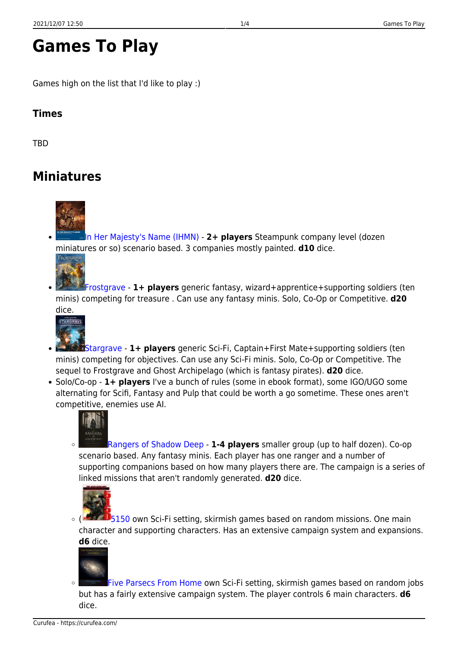# **Games To Play**

Games high on the list that I'd like to play :)

#### **Times**

**TBD** 

## **Miniatures**



[In Her Majesty's Name \(IHMN\)](https://boardgamegeek.com/boardgame/143487/her-majestys-name-steampunk-skirmish-wargaming-rul) - **2+ players** Steampunk company level (dozen miniatures or so) scenario based. 3 companies mostly painted. **d10** dice.



[Frostgrave](https://boardgamegeek.com/boardgame/177354/frostgrave) - **1+ players** generic fantasy, wizard+apprentice+supporting soldiers (ten minis) competing for treasure . Can use any fantasy minis. Solo, Co-Op or Competitive. **d20** dice.



- [Stargrave](https://boardgamegeek.com/boardgame/322283/stargrave-science-fiction-wargames-ravaged-galaxy)  **1+ players** generic Sci-Fi, Captain+First Mate+supporting soldiers (ten minis) competing for objectives. Can use any Sci-Fi minis. Solo, Co-Op or Competitive. The sequel to Frostgrave and Ghost Archipelago (which is fantasy pirates). **d20** dice.
- Solo/Co-op 1+ players I've a bunch of rules (some in ebook format), some IGO/UGO some alternating for Scifi, Fantasy and Pulp that could be worth a go sometime. These ones aren't competitive, enemies use AI.



[Rangers of Shadow Deep](https://boardgamegeek.com/boardgame/264476/rangers-shadow-deep) - **1-4 players** smaller group (up to half dozen). Co-op  $\circ$ scenario based. Any fantasy minis. Each player has one ranger and a number of supporting companions based on how many players there are. The campaign is a series of linked missions that aren't randomly generated. **d20** dice.



 $\circ$  [\(](https://curufea.com/lib/exe/fetch.php?tok=4a2f02&media=https%3A%2F%2Fcf.geekdo-images.com%2FcBvDtbWA5-WfYYkivDUhlQ__micro%2Fimg%2FMITLaG9OPmn-9I-TvEkUwAMD4bI%3D%2Ffit-in%2F64x64%2Ffilters%3Astrip_icc%28%29%2Fpic165442.jpg) $\sim$  [5150](https://boardgamegeek.com/boardgame/26855/5150) own Sci-Fi setting, skirmish games based on random missions. One main character and supporting characters. Has an extensive campaign system and expansions. **d6** dice.



[Five Parsecs From Home](https://boardgamegeek.com/boardgame/255233/five-parsecs-home-2nd-edition) own Sci-Fi setting, skirmish games based on random jobs but has a fairly extensive campaign system. The player controls 6 main characters. **d6** dice.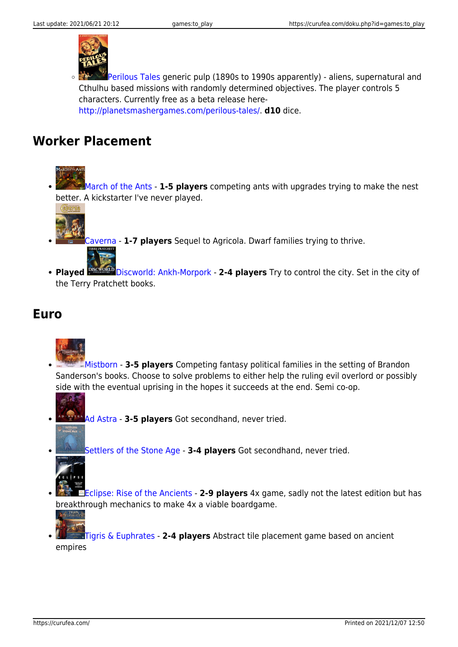

 $\circ$ [Perilous Tales](https://boardgamegeek.com/boardgame/308852/perilous-tales) generic pulp (1890s to 1990s apparently) - aliens, supernatural and Cthulhu based missions with randomly determined objectives. The player controls 5 characters. Currently free as a beta release here[http://planetsmashergames.com/perilous-tales/.](http://planetsmashergames.com/perilous-tales/) **d10** dice.

#### **Worker Placement**

[March of the Ants](https://boardgamegeek.com/boardgame/156496/march-ants) - **1-5 players** competing ants with upgrades trying to make the nest better. A kickstarter I've never played.



[Caverna](https://boardgamegeek.com/boardgame/102794/caverna-cave-farmers) - **1-7 players** Sequel to Agricola. Dwarf families trying to thrive.

• Played **PISCWORD** [Discworld: Ankh-Morpork](https://boardgamegeek.com/boardgame/91312/discworld-ankh-morpork) - 2-4 players Try to control the city. Set in the city of the Terry Pratchett books.

#### **Euro**



- [Mistborn](https://boardgamegeek.com/boardgame/182626/mistborn-house-war) **3-5 players** Competing fantasy political families in the setting of Brandon Sanderson's books. Choose to solve problems to either help the ruling evil overlord or possibly side with the eventual uprising in the hopes it succeeds at the end. Semi co-op.
- [Ad Astra](https://boardgamegeek.com/boardgame/38343/ad-astra) **3-5 players** Got secondhand, never tried.
	- [Settlers of the Stone Age](https://boardgamegeek.com/boardgame/4394/settlers-stone-age) **3-4 players** Got secondhand, never tried.



[Eclipse: Rise of the Ancients](https://boardgamegeek.com/boardgameexpansion/125898/eclipse-rise-ancients) - **2-9 players** 4x game, sadly not the latest edition but has breakthrough mechanics to make 4x a viable boardgame.



[Tigris & Euphrates](https://boardgamegeek.com/boardgame/42/tigris-euphrates) - **2-4 players** Abstract tile placement game based on ancient empires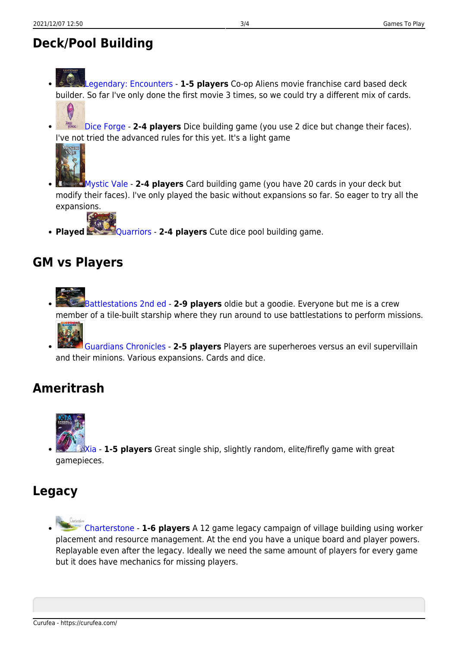- [Legendary: Encounters](https://boardgamegeek.com/boardgame/146652/legendary-encounters-alien-deck-building-game)  **1-5 players** Co-op Aliens movie franchise card based deck builder. So far I've only done the first movie 3 times, so we could try a different mix of cards.
	- $\boldsymbol{\theta}$
	- **Bice Forge 2-4 players** Dice building game (you use 2 dice but change their faces). I've not tried the advanced rules for this yet. It's a light game



- [Mystic Vale](https://boardgamegeek.com/boardgame/194607/mystic-vale) **2-4 players** Card building game (you have 20 cards in your deck but modify their faces). I've only played the basic without expansions so far. So eager to try all the expansions.
- **Played** [Quarriors](https://boardgamegeek.com/boardgame/91536/quarriors) 2-4 players Cute dice pool building game.

#### **GM vs Players**

- [Battlestations 2nd ed](https://boardgamegeek.com/boardgame/196712/battlestations-second-edition) **2-9 players** oldie but a goodie. Everyone but me is a crew member of a tile-built starship where they run around to use battlestations to perform missions.
- [Guardians Chronicles](https://boardgamegeek.com/boardgame/140779/guardians-chronicles)  **2-5 players** Players are superheroes versus an evil supervillain and their minions. Various expansions. Cards and dice.

### **Ameritrash**



[Xia](https://boardgamegeek.com/boardgameexpansion/199329/xia-embers-forsaken-star) - **1-5 players** Great single ship, slightly random, elite/firefly game with great gamepieces.

#### **Legacy**

[Charterstone](https://boardgamegeek.com/boardgame/197376/charterstone) - **1-6 players** A 12 game legacy campaign of village building using worker placement and resource management. At the end you have a unique board and player powers. Replayable even after the legacy. Ideally we need the same amount of players for every game but it does have mechanics for missing players.